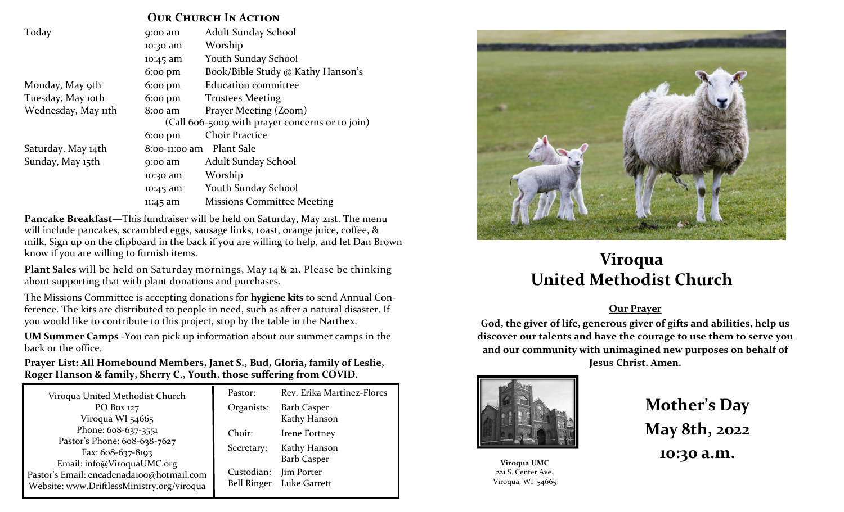## **OUR CHURCH IN ACTION**

| Today               | 9:00 am                  | Adult Sunday School                             |  |  |
|---------------------|--------------------------|-------------------------------------------------|--|--|
|                     | 10:30 am                 | Worship                                         |  |  |
|                     | 10:45 am                 | <b>Youth Sunday School</b>                      |  |  |
|                     | $6:00 \text{ pm}$        | Book/Bible Study @ Kathy Hanson's               |  |  |
| Monday, May 9th     | $6:00 \text{ pm}$        | <b>Education committee</b>                      |  |  |
| Tuesday, May 10th   | $6:00 \text{ pm}$        | <b>Trustees Meeting</b>                         |  |  |
| Wednesday, May 11th | $8$ :00 am               | Prayer Meeting (Zoom)                           |  |  |
|                     |                          | (Call 606-5009 with prayer concerns or to join) |  |  |
|                     | $6:00 \text{ pm}$        | <b>Choir Practice</b>                           |  |  |
| Saturday, May 14th  | 8:00-11:00 am Plant Sale |                                                 |  |  |
| Sunday, May 15th    | $9:00$ am                | Adult Sunday School                             |  |  |
|                     | 10:30 am                 | Worship                                         |  |  |
|                     | 10:45 am                 | Youth Sunday School                             |  |  |
|                     | 11:45 am                 | <b>Missions Committee Meeting</b>               |  |  |

**Pancake Breakfast**—This fundraiser will be held on Saturday, May 21st. The menu will include pancakes, scrambled eggs, sausage links, toast, orange juice, coffee, & milk. Sign up on the clipboard in the back if you are willing to help, and let Dan Brown know if you are willing to furnish items.

**Plant Sales** will be held on Saturday mornings, May 14 & 21. Please be thinking about supporting that with plant donations and purchases.

The Missions Committee is accepting donations for **hygiene kits** to send Annual Conference. The kits are distributed to people in need, such as after a natural disaster. If you would like to contribute to this project, stop by the table in the Narthex.

**UM Summer Camps -**You can pick up information about our summer camps in the back or the office.

## **Prayer List: All Homebound Members, Janet S., Bud, Gloria, family of Leslie, Roger Hanson & family, Sherry C., Youth, those suffering from COVID.**

| Viroqua United Methodist Church                                                                                       | Pastor:    | Rev. Erika Martinez-Flores |  |
|-----------------------------------------------------------------------------------------------------------------------|------------|----------------------------|--|
| PO Box 127                                                                                                            | Organists: | <b>Barb Casper</b>         |  |
| Viroqua WI 54665                                                                                                      |            | Kathy Hanson               |  |
| Phone: 608-637-3551<br>Pastor's Phone: 608-638-7627                                                                   | Choir:     | Irene Fortney              |  |
|                                                                                                                       | Secretary: | Kathy Hanson               |  |
| Fax: $608-637-8193$                                                                                                   |            | <b>Barb Casper</b>         |  |
| Email: info@ViroquaUMC.org<br>Pastor's Email: encadenada100@hotmail.com<br>Website: www.DriftlessMinistry.org/viroqua | Custodian: | Jim Porter                 |  |
|                                                                                                                       |            | Bell Ringer Luke Garrett   |  |



## **Viroqua United Methodist Church**

## **Our Prayer**

**God, the giver of life, generous giver of gifts and abilities, help us discover our talents and have the courage to use them to serve you and our community with unimagined new purposes on behalf of Jesus Christ. Amen.**



**Viroqua UMC** 221 S. Center Ave. Viroqua, WI 54665 **Mother's Day May 8th, 2022 10:30 a.m.**